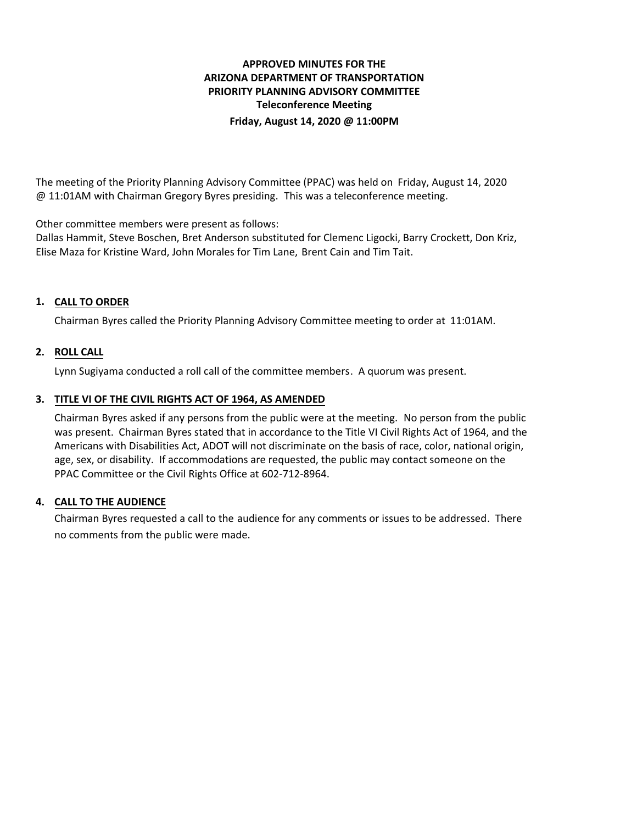# **APPROVED MINUTES FOR THE ARIZONA DEPARTMENT OF TRANSPORTATION PRIORITY PLANNING ADVISORY COMMITTEE Teleconference Meeting Friday, August 14, 2020 @ 11:00PM**

The meeting of the Priority Planning Advisory Committee (PPAC) was held on Friday, August 14, 2020 @ 11:01AM with Chairman Gregory Byres presiding. This was a teleconference meeting.

Other committee members were present as follows:

Dallas Hammit, Steve Boschen, Bret Anderson substituted for Clemenc Ligocki, Barry Crockett, Don Kriz, Elise Maza for Kristine Ward, John Morales for Tim Lane, Brent Cain and Tim Tait.

## **CALL TO ORDER 1.**

Chairman Byres called the Priority Planning Advisory Committee meeting to order at 11:01AM.

## **ROLL CALL 2.**

Lynn Sugiyama conducted a roll call of the committee members. A quorum was present.

### **TITLE VI OF THE CIVIL RIGHTS ACT OF 1964, AS AMENDED 3.**

Chairman Byres asked if any persons from the public were at the meeting. No person from the public was present. Chairman Byres stated that in accordance to the Title VI Civil Rights Act of 1964, and the Americans with Disabilities Act, ADOT will not discriminate on the basis of race, color, national origin, age, sex, or disability. If accommodations are requested, the public may contact someone on the PPAC Committee or the Civil Rights Office at 602-712-8964.

### **CALL TO THE AUDIENCE 4.**

Chairman Byres requested a call to the audience for any comments or issues to be addressed. There no comments from the public were made.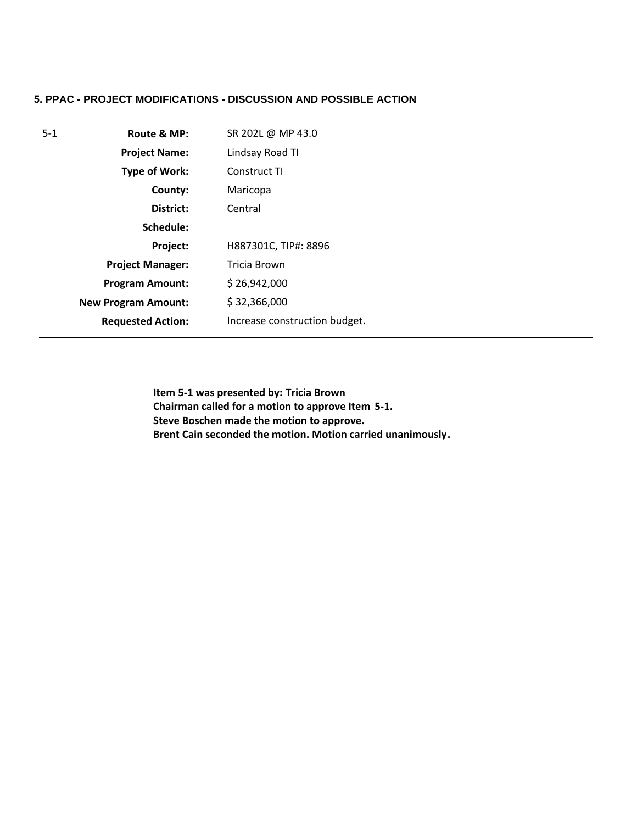# **5. PPAC - PROJECT MODIFICATIONS - DISCUSSION AND POSSIBLE ACTION**

| $5 - 1$ | Route & MP:                | SR 202L @ MP 43.0             |
|---------|----------------------------|-------------------------------|
|         | <b>Project Name:</b>       | Lindsay Road TI               |
|         | <b>Type of Work:</b>       | Construct TI                  |
|         | County:                    | Maricopa                      |
|         | District:                  | Central                       |
|         | Schedule:                  |                               |
|         | Project:                   | H887301C, TIP#: 8896          |
|         | <b>Project Manager:</b>    | Tricia Brown                  |
|         | <b>Program Amount:</b>     | \$26,942,000                  |
|         | <b>New Program Amount:</b> | \$32,366,000                  |
|         | <b>Requested Action:</b>   | Increase construction budget. |

**Item 5-1 was presented by: Tricia Brown Chairman called for a motion to approve Item 5-1. Steve Boschen made the motion to approve. Brent Cain seconded the motion. Motion carried unanimously.**